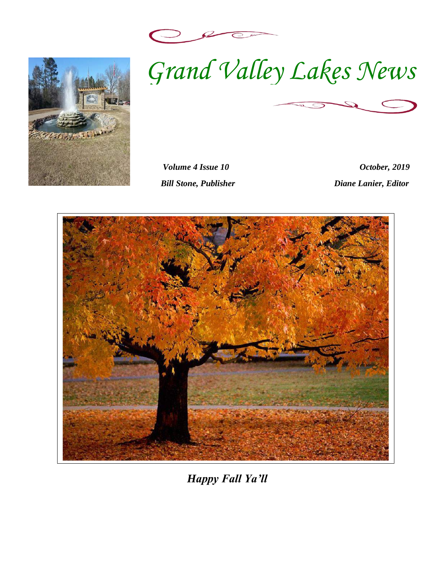



*Volume 4 Issue 10 October, 2019 Bill Stone, Publisher Diane Lanier, Editor* 



*Happy Fall Ya'll*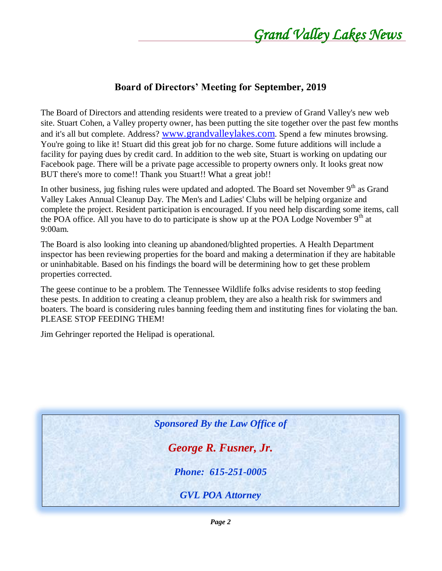#### **Board of Directors' Meeting for September, 2019**

The Board of Directors and attending residents were treated to a preview of Grand Valley's new web site. Stuart Cohen, a Valley property owner, has been putting the site together over the past few months and it's all but complete. Address? [www.grandvalleylakes.com](http://www.grandvalleylakes.com/). Spend a few minutes browsing. You're going to like it! Stuart did this great job for no charge. Some future additions will include a facility for paying dues by credit card. In addition to the web site, Stuart is working on updating our Facebook page. There will be a private page accessible to property owners only. It looks great now BUT there's more to come!! Thank you Stuart!! What a great job!!

In other business, jug fishing rules were updated and adopted. The Board set November  $9<sup>th</sup>$  as Grand Valley Lakes Annual Cleanup Day. The Men's and Ladies' Clubs will be helping organize and complete the project. Resident participation is encouraged. If you need help discarding some items, call the POA office. All you have to do to participate is show up at the POA Lodge November 9<sup>th</sup> at 9:00am.

The Board is also looking into cleaning up abandoned/blighted properties. A Health Department inspector has been reviewing properties for the board and making a determination if they are habitable or uninhabitable. Based on his findings the board will be determining how to get these problem properties corrected.

The geese continue to be a problem. The Tennessee Wildlife folks advise residents to stop feeding these pests. In addition to creating a cleanup problem, they are also a health risk for swimmers and boaters. The board is considering rules banning feeding them and instituting fines for violating the ban. PLEASE STOP FEEDING THEM!

Jim Gehringer reported the Helipad is operational.

*Sponsored By the Law Office of* 

*George R. Fusner, Jr.*

*Phone: 615-251-0005*

*GVL POA Attorney*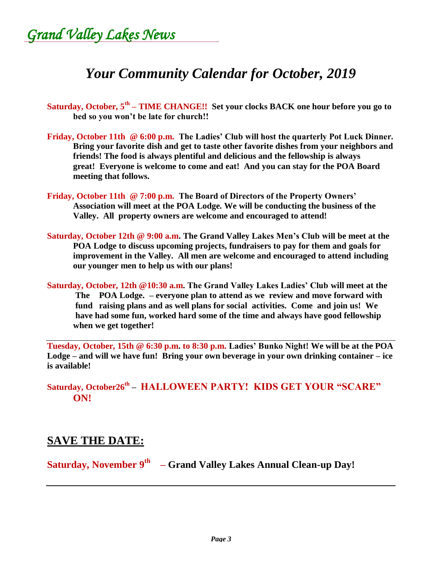*Grand Valley Lakes News* 

# *Your Community Calendar for October, 2019*

- **Saturday, October, 5th – TIME CHANGE!! Set your clocks BACK one hour before you go to bed so you won't be late for church!!**
- **Friday, October 11th @ 6:00 p.m. The Ladies' Club will host the quarterly Pot Luck Dinner. Bring your favorite dish and get to taste other favorite dishes from your neighbors and friends! The food is always plentiful and delicious and the fellowship is always great! Everyone is welcome to come and eat! And you can stay for the POA Board meeting that follows.**
- **Friday, October 11th @ 7:00 p.m. The Board of Directors of the Property Owners' Association will meet at the POA Lodge. We will be conducting the business of the Valley. All property owners are welcome and encouraged to attend!**
- **Saturday, October 12th @ 9:00 a.m. The Grand Valley Lakes Men's Club will be meet at the POA Lodge to discuss upcoming projects, fundraisers to pay for them and goals for improvement in the Valley. All men are welcome and encouraged to attend including our younger men to help us with our plans!**
- **Saturday, October, 12th @10:30 a.m. The Grand Valley Lakes Ladies' Club will meet at the The POA Lodge. – everyone plan to attend as we review and move forward with fund raising plans and as well plans for social activities. Come and join us! We have had some fun, worked hard some of the time and always have good fellowship when we get together!**

**Tuesday, October, 15th @ 6:30 p.m. to 8:30 p.m. Ladies' Bunko Night! We will be at the POA Lodge – and will we have fun! Bring your own beverage in your own drinking container – ice is available!**

**Saturday, October26th – HALLOWEEN PARTY! KIDS GET YOUR "SCARE" ON!**

#### **SAVE THE DATE:**

**Saturday, November 9th – Grand Valley Lakes Annual Clean-up Day!**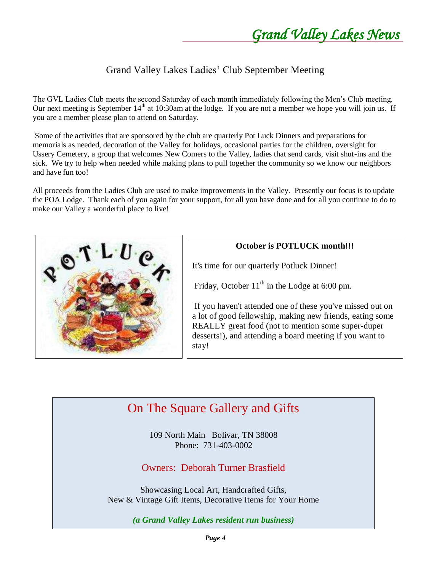#### Grand Valley Lakes Ladies' Club September Meeting

The GVL Ladies Club meets the second Saturday of each month immediately following the Men's Club meeting. Our next meeting is September  $14<sup>th</sup>$  at 10:30am at the lodge. If you are not a member we hope you will join us. If you are a member please plan to attend on Saturday.

Some of the activities that are sponsored by the club are quarterly Pot Luck Dinners and preparations for memorials as needed, decoration of the Valley for holidays, occasional parties for the children, oversight for Ussery Cemetery, a group that welcomes New Comers to the Valley, ladies that send cards, visit shut-ins and the sick. We try to help when needed while making plans to pull together the community so we know our neighbors and have fun too!

All proceeds from the Ladies Club are used to make improvements in the Valley. Presently our focus is to update the POA Lodge. Thank each of you again for your support, for all you have done and for all you continue to do to make our Valley a wonderful place to live!



#### **October is POTLUCK month!!!**

It's time for our quarterly Potluck Dinner!

Friday, October  $11<sup>th</sup>$  in the Lodge at 6:00 pm.

If you haven't attended one of these you've missed out on a lot of good fellowship, making new friends, eating some REALLY great food (not to mention some super-duper desserts!), and attending a board meeting if you want to stay!

# On The Square Gallery and Gifts

109 North Main Bolivar, TN 38008 Phone: 731-403-0002

Owners: Deborah Turner Brasfield

Showcasing Local Art, Handcrafted Gifts, New & Vintage Gift Items, Decorative Items for Your Home

*(a Grand Valley Lakes resident run business)*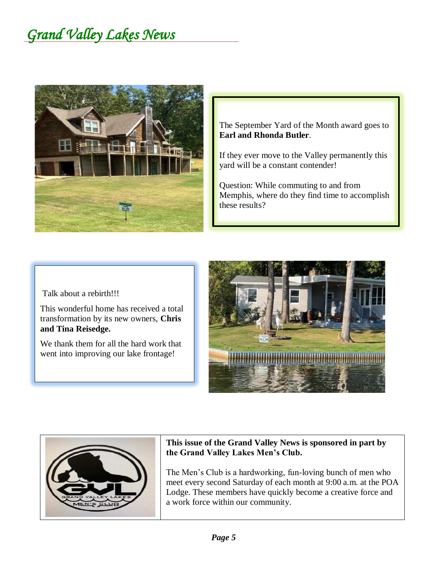

The September Yard of the Month award goes to **Earl and Rhonda Butler**.

If they ever move to the Valley permanently this yard will be a constant contender!

Question: While commuting to and from Memphis, where do they find time to accomplish these results?

Talk about a rebirth!!!

This wonderful home has received a total transformation by its new owners, **Chris and Tina Reisedge.**

We thank them for all the hard work that went into improving our lake frontage!





#### **This issue of the Grand Valley News is sponsored in part by the Grand Valley Lakes Men's Club.**

The Men's Club is a hardworking, fun-loving bunch of men who meet every second Saturday of each month at 9:00 a.m. at the POA Lodge. These members have quickly become a creative force and a work force within our community.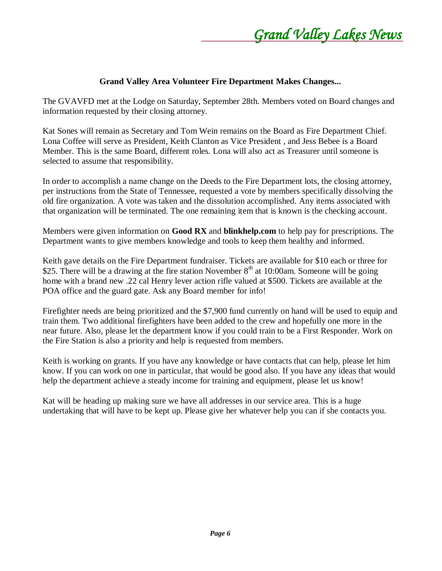

#### **Grand Valley Area Volunteer Fire Department Makes Changes...**

The GVAVFD met at the Lodge on Saturday, September 28th. Members voted on Board changes and information requested by their closing attorney.

Kat Sones will remain as Secretary and Tom Wein remains on the Board as Fire Department Chief. Lona Coffee will serve as President, Keith Clanton as Vice President , and Jess Bebee is a Board Member. This is the same Board, different roles. Lona will also act as Treasurer until someone is selected to assume that responsibility.

In order to accomplish a name change on the Deeds to the Fire Department lots, the closing attorney, per instructions from the State of Tennessee, requested a vote by members specifically dissolving the old fire organization. A vote was taken and the dissolution accomplished. Any items associated with that organization will be terminated. The one remaining item that is known is the checking account.

Members were given information on **Good RX** and **blinkhelp.com** to help pay for prescriptions. The Department wants to give members knowledge and tools to keep them healthy and informed.

Keith gave details on the Fire Department fundraiser. Tickets are available for \$10 each or three for \$25. There will be a drawing at the fire station November  $8<sup>th</sup>$  at 10:00am. Someone will be going home with a brand new .22 cal Henry lever action rifle valued at \$500. Tickets are available at the POA office and the guard gate. Ask any Board member for info!

Firefighter needs are being prioritized and the \$7,900 fund currently on hand will be used to equip and train them. Two additional firefighters have been added to the crew and hopefully one more in the near future. Also, please let the department know if you could train to be a First Responder. Work on the Fire Station is also a priority and help is requested from members.

Keith is working on grants. If you have any knowledge or have contacts that can help, please let him know. If you can work on one in particular, that would be good also. If you have any ideas that would help the department achieve a steady income for training and equipment, please let us know!

Kat will be heading up making sure we have all addresses in our service area. This is a huge undertaking that will have to be kept up. Please give her whatever help you can if she contacts you.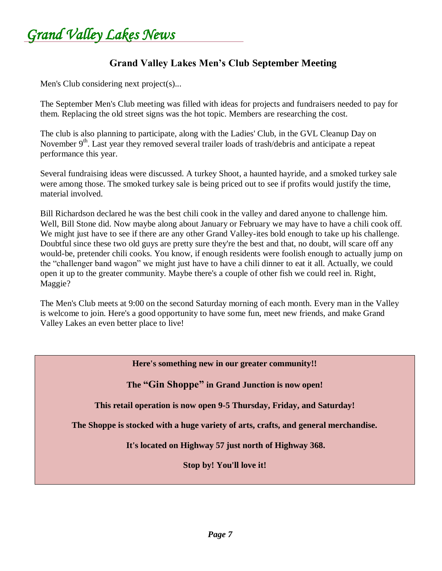*Grand Valley Lakes News* 

#### **Grand Valley Lakes Men's Club September Meeting**

Men's Club considering next project(s)...

The September Men's Club meeting was filled with ideas for projects and fundraisers needed to pay for them. Replacing the old street signs was the hot topic. Members are researching the cost.

The club is also planning to participate, along with the Ladies' Club, in the GVL Cleanup Day on November 9<sup>th</sup>. Last year they removed several trailer loads of trash/debris and anticipate a repeat performance this year.

Several fundraising ideas were discussed. A turkey Shoot, a haunted hayride, and a smoked turkey sale were among those. The smoked turkey sale is being priced out to see if profits would justify the time, material involved.

Bill Richardson declared he was the best chili cook in the valley and dared anyone to challenge him. Well, Bill Stone did. Now maybe along about January or February we may have to have a chili cook off. We might just have to see if there are any other Grand Valley-ites bold enough to take up his challenge. Doubtful since these two old guys are pretty sure they're the best and that, no doubt, will scare off any would-be, pretender chili cooks. You know, if enough residents were foolish enough to actually jump on the "challenger band wagon" we might just have to have a chili dinner to eat it all. Actually, we could open it up to the greater community. Maybe there's a couple of other fish we could reel in. Right, Maggie?

The Men's Club meets at 9:00 on the second Saturday morning of each month. Every man in the Valley is welcome to join. Here's a good opportunity to have some fun, meet new friends, and make Grand Valley Lakes an even better place to live!

**Here's something new in our greater community!!**

**The "Gin Shoppe" in Grand Junction is now open!**

**This retail operation is now open 9-5 Thursday, Friday, and Saturday!**

**The Shoppe is stocked with a huge variety of arts, crafts, and general merchandise.**

**It's located on Highway 57 just north of Highway 368.** 

**Stop by! You'll love it!**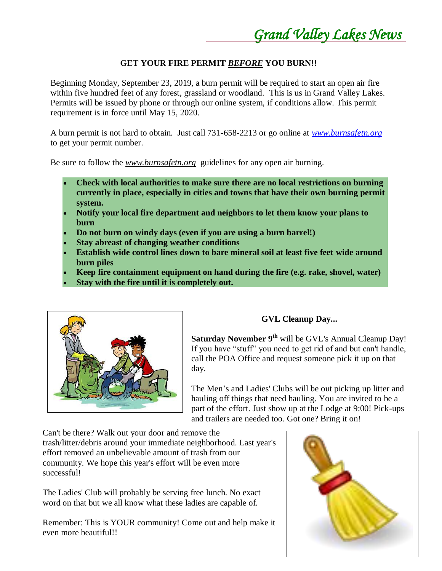*Grand Valley Lakes News* 

#### **GET YOUR FIRE PERMIT** *BEFORE* **YOU BURN!!**

Beginning Monday, September 23, 2019, a burn permit will be required to start an open air fire within five hundred feet of any forest, grassland or woodland. This is us in Grand Valley Lakes. Permits will be issued by phone or through our online system, if conditions allow. This permit requirement is in force until May 15, 2020.

A burn permit is not hard to obtain. Just call 731-658-2213 or go online at *[www.burnsafetn.org](http://www.burnsafetn.org/)* to get your permit number.

Be sure to follow the *www.burnsafetn.org* guidelines for any open air burning.

- **Check with local authorities to make sure there are no local restrictions on burning currently in place, especially in cities and towns that have their own burning permit system.**
- **Notify your local fire department and neighbors to let them know your plans to burn**
- **Do not burn on windy days (even if you are using a burn barrel!)**
- **Stay abreast of changing weather conditions**
- **Establish wide control lines down to bare mineral soil at least five feet wide around burn piles**
- **Keep fire containment equipment on hand during the fire (e.g. rake, shovel, water)**
- **Stay with the fire until it is completely out.**



#### **GVL Cleanup Day...**

**Saturday November 9th** will be GVL's Annual Cleanup Day! If you have "stuff" you need to get rid of and but can't handle, call the POA Office and request someone pick it up on that day.

The Men's and Ladies' Clubs will be out picking up litter and hauling off things that need hauling. You are invited to be a part of the effort. Just show up at the Lodge at 9:00! Pick-ups and trailers are needed too. Got one? Bring it on!

Can't be there? Walk out your door and remove the trash/litter/debris around your immediate neighborhood. Last year's effort removed an unbelievable amount of trash from our community. We hope this year's effort will be even more successful!

The Ladies' Club will probably be serving free lunch. No exact word on that but we all know what these ladies are capable of.

Remember: This is YOUR community! Come out and help make it even more beautiful!!

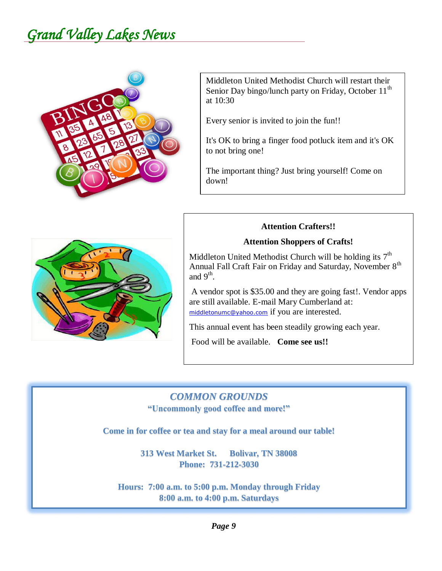

Middleton United Methodist Church will restart their Senior Day bingo/lunch party on Friday, October  $11<sup>th</sup>$ at 10:30

Every senior is invited to join the fun!!

It's OK to bring a finger food potluck item and it's OK to not bring one!

The important thing? Just bring yourself! Come on down!

#### **Attention Crafters!!**

#### **Attention Shoppers of Crafts!**

Middleton United Methodist Church will be holding its  $7<sup>th</sup>$ Annual Fall Craft Fair on Friday and Saturday, November 8<sup>th</sup> and  $9<sup>th</sup>$ .

A vendor spot is \$35.00 and they are going fast!. Vendor apps are still available. E-mail Mary Cumberland at: [middletonumc@yahoo.com](mailto:middletonumc@yahoo.com) if you are interested.

This annual event has been steadily growing each year.

Food will be available. **Come see us!!**

# *COMMON GROUNDS*

**"Uncommonly good coffee and more!"**

**Come in for coffee or tea and stay for a meal around our table!**

**313 West Market St. Bolivar, TN 38008 Phone: 731-212-3030**

**Hours: 7:00 a.m. to 5:00 p.m. Monday through Friday 8:00 a.m. to 4:00 p.m. Saturdays**

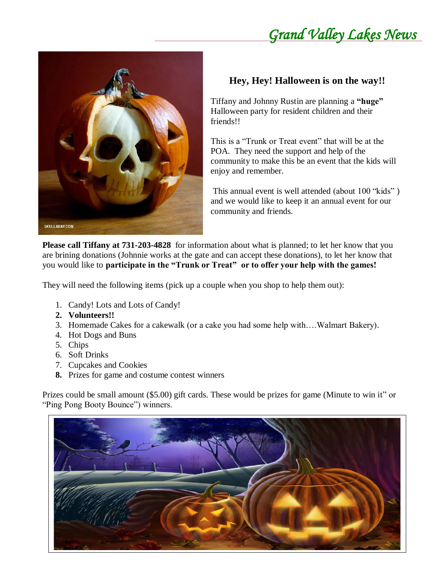

## **Hey, Hey! Halloween is on the way!!**

Tiffany and Johnny Rustin are planning a **"huge"** Halloween party for resident children and their friends!!

This is a "Trunk or Treat event" that will be at the POA. They need the support and help of the community to make this be an event that the kids will enjoy and remember.

This annual event is well attended (about 100 "kids" ) and we would like to keep it an annual event for our community and friends.

**Please call Tiffany at 731-203-4828** for information about what is planned; to let her know that you are brining donations (Johnnie works at the gate and can accept these donations), to let her know that you would like to **participate in the "Trunk or Treat" or to offer your help with the games!**

They will need the following items (pick up a couple when you shop to help them out):

- 1. Candy! Lots and Lots of Candy!
- **2. Volunteers!!**
- 3. Homemade Cakes for a cakewalk (or a cake you had some help with….Walmart Bakery).
- 4. Hot Dogs and Buns
- 5. Chips
- 6. Soft Drinks
- 7. Cupcakes and Cookies
- **8.** Prizes for game and costume contest winners

Prizes could be small amount (\$5.00) gift cards. These would be prizes for game (Minute to win it" or "Ping Pong Booty Bounce") winners.

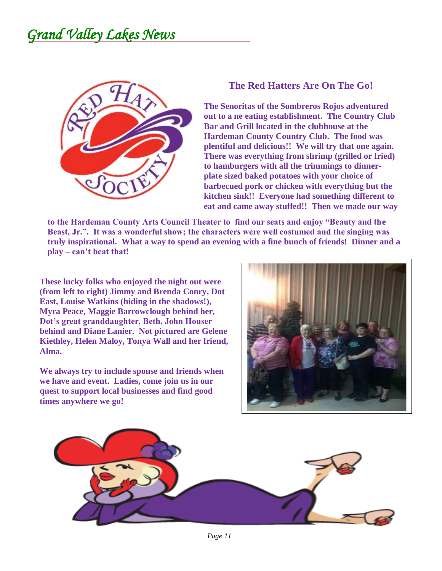

#### **The Red Hatters Are On The Go!**

**The Senoritas of the Sombreros Rojos adventured out to a ne eating establishment. The Country Club Bar and Grill located in the clubhouse at the Hardeman County Country Club. The food was plentiful and delicious!! We will try that one again. There was everything from shrimp (grilled or fried) to hamburgers with all the trimmings to dinnerplate sized baked potatoes with your choice of barbecued pork or chicken with everything but the kitchen sink!! Everyone had something different to eat and came away stuffed!! Then we made our way** 

**to the Hardeman County Arts Council Theater to find our seats and enjoy "Beauty and the Beast, Jr.". It was a wonderful show; the characters were well costumed and the singing was truly inspirational. What a way to spend an evening with a fine bunch of friends! Dinner and a play – can't beat that!**

**These lucky folks who enjoyed the night out were (from left to right) Jimmy and Brenda Conry, Dot East, Louise Watkins (hiding in the shadows!), Myra Peace, Maggie Barrowclough behind her, Dot's great granddaughter, Beth, John Houser behind and Diane Lanier. Not pictured are Gelene Kiethley, Helen Maloy, Tonya Wall and her friend, Alma.**

**We always try to include spouse and friends when we have and event. Ladies, come join us in our quest to support local businesses and find good times anywhere we go!**